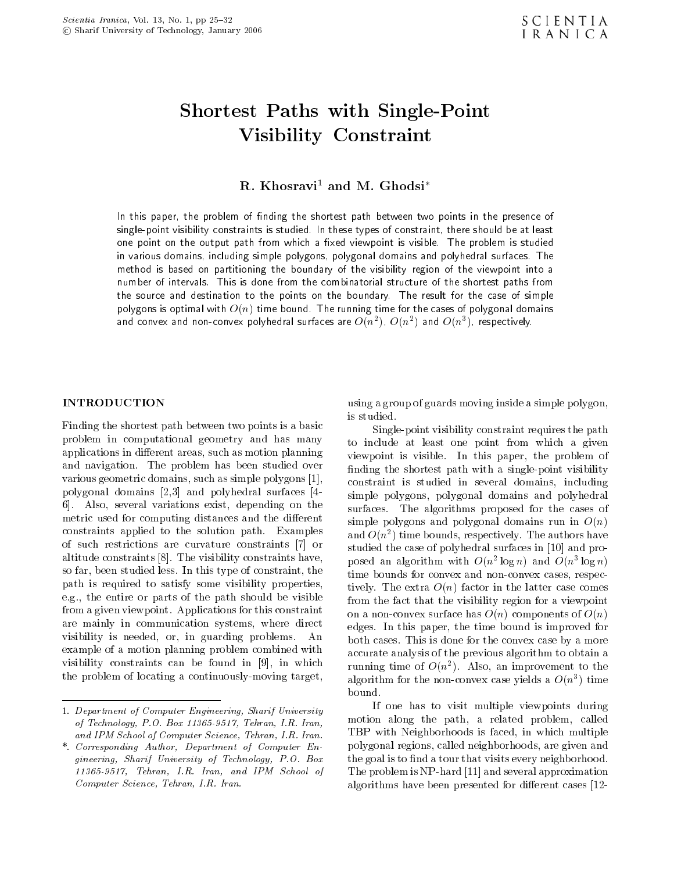# Shortest Paths with Single-Point Visibility Constraint

R. Khosravi<sup>1</sup> and M. Ghodsi<sup>\*</sup>

In this paper, the problem of nding the shortest path between two points in the presence of single-point visibility constraints is studied. In these types of constraint, there should be at least one point on the output path from which <sup>a</sup> xed viewpoint is visible. The problem is studied in various domains, including simple polygons, polygonal domains and polyhedral surfaces. The method isbased on partitioning the boundary of the visibility region of the viewpoint into <sup>a</sup> number of intervals. This is done from the combinatorial structure of the shortest paths from the source and destination to the points on the boundary. The result for the case of simple polygons is optimal with O(n) time bound. The running time for the cases of polygonal domains and convex and non-convex polynedral surfaces are  $O(n^-)$  ,  $O(n^+)$  and  $O(n^+)$  , respectively.

#### INTRODUCTION

Finding the shortest path between two points is a basic problem in computational geometry and has many applications in different areas, such as motion planning and navigation. The problem has been studied over various geometric domains, such as simple polygons [1], polygonal domains [2,3] and polyhedral surfaces [4- 6]. Also, several variations exist, depending on the metric used for computing distances and the different constraints applied to the solution path. Examples of such restrictions are curvature constraints [7] or altitude constraints [8]. The visibility constraints have, so far, been studied less. In this type of constraint, the path is required to satisfy some visibility properties, e.g., the entire or parts of the path should be visible from a given viewpoint. Applications for this constraint are mainly in communication systems, where direct visibility is needed, or, in guarding problems. An example of a motion planning problem combined with visibility constraints can be found in [9], in which the problem of locating a continuously-moving target,

using a group of guards moving inside a simple polygon, is studied.

Single-point visibility constraint requires the path to include at least one point from which <sup>a</sup> given viewpoint is visible. In this paper, the problem of finding the shortest path with a single-point visibility constraint is studied in several domains, including simple polygons, polygonal domains and polyhedral surfaces. The algorithms proposed for the cases of simple polygons and polygonal domains run in  $O(n)$ and  $O(n^2)$  time bounds, respectively. The authors have studied the case of polyhedral surfaces in [10] and proposed an algorithm with  $O(n \log n)$  and  $O(n \log n)$ time bounds for convex and non-convex cases, respectively. The extra  $O(n)$  factor in the latter case comes from the fact that the visibility region for a viewpoint on a non-convex surface has  $O(n)$  components of  $O(n)$ edges. In this paper, the time bound is improved for both cases. This is done for the convex case by a more accurate analysis of the previous algorithm to obtain a running time of  $O(n)$ . Also, an improvement to the algorithm for the non-convex case yields a  $O(n)$  time bound.

If one has to visit multiple viewpoints during motion along the path, <sup>a</sup> related problem, called TBP with Neighborhoods is faced, in which multiple polygonal regions, called neighborhoods, are given and the goal is to find a tour that visits every neighborhood. The problem is NP-hard [11] and several approximation algorithms have been presented for different cases  $[12-$ 

<sup>1.</sup> Department of Computer Engineering, Sharif University of Technology, P.O. Box 11365-9517, Tehran, I.R. Iran, and IPM School of Computer Science, Tehran, I.R. Iran.

<sup>\*.</sup> Corresponding Author, Department of Computer Engineering, Sharif University of Technology, P.O. Box 11365-9517, Tehran, I.R. Iran, and IPM School of Computer Science, Tehran, I.R. Iran.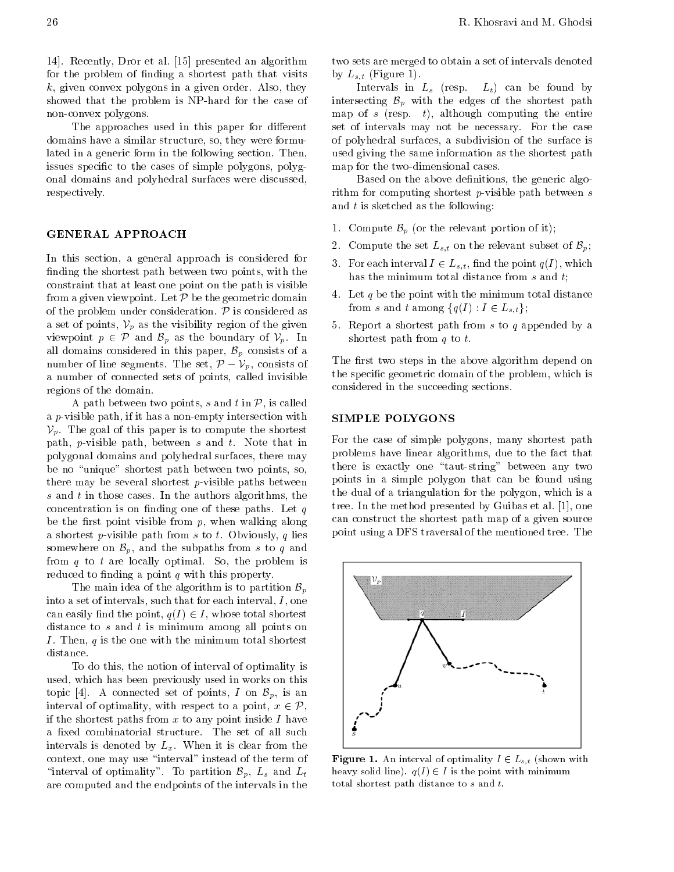The approaches used in this paper for different domains have a similar structure, so, they were formulated in a generic form in the following section. Then, issues specific to the cases of simple polygons, polygonal domains and polyhedral surfaces were discussed, respectively.

# GENERAL APPROACH

In this section, a general approach is considered for finding the shortest path between two points, with the constraint that at least one point on the path is visible from a given viewpoint. Let  $P$  be the geometric domain of the problem under consideration.  $\mathcal P$  is considered as a set of points,  $V_n$  as the visibility region of the given 5. viewpoint  $p \in \mathcal{P}$  and  $\mathcal{B}_p$  as the boundary of  $\mathcal{V}_p$ . In all domains considered in this paper,  $\mathcal{B}_p$  consists of a number of line segments. The set,  $\mathcal{P} = \mathcal{V}_p$ , consists of The a number of connected sets of points, called invisible  $\Phi$ regions of the domain.

A path between two points, s and t in  $P$ , is called  $a \, p$ -visible path, if it has a non-empty intersection with  $\bf{SIN}$ path, p-visible path, between s and t. Note that in For polygonal domains and polyhedral surfaces, there may be no "unique" shortest path between two points, so, there may be several shortest  $p$ -visible paths between  $s$  and  $t$  in those cases. In the authors algorithms, the concentration is on finding one of these paths. Let  $q$ be the first point visible from  $p$ , when walking along a shortest p-visible path from s to t. Obviously, q lies somewhere on  $\mathcal{B}_p$ , and the subpaths from s to q and  $\frac{1}{2}$  and the subpaths from  $q$  to  $t$  are locally optimal. So, the problem is reduced to finding a point  $q$  with this property.

The main idea of the algorithm is to partition  $\mathcal{B}_p$ into a set of intervals, such that for each interval,  $I$ , one can easily find the point,  $q(I) \in I$ , whose total shortest  $\frac{1}{2}$  distance to s and t is minimum among all points on I. Then,  $q$  is the one with the minimum total shortest distance.

To do this, the notion of interval of optimality is used, which has been previously used in works on this topic [4]. A connected set of points, I on  $\mathcal{B}_p$ , is an interval of optimality, with respect to a point,  $x \in \mathcal{P}$ , if the shortest paths from x to any point inside I have<br>a fixed combinatorial structure. The set of all such<br>intervals is denoted by  $L_x$ . When it is clear from the<br>context, one may use "interval" instead of the term of<br>" if the shortest paths from  $x$  to any point inside  $I$  have <sup>a</sup> xed combinatorial structure. The set of all such intervals is denoted by  $L_x$ . When it is clear from the context, one may use \interval" instead of the term of "interval of optimality". To partition  $\mathcal{B}_p$ ,  $L_s$  and  $L_t$  $\frac{1}{2}$  are computed and the endpoints of the intervals in the total

two sets are merged to obtain a set of intervals denoted by  $L_{s,t}$  (Figure 1).

Intervals in  $L_s$  (resp.  $L_t$ ) can be found by intersecting  $\mathcal{B}_p$  with the edges of the shortest path map of s (resp. t), although computing the entire set of intervals may not be necessary. For the case of polyhedral surfaces, <sup>a</sup> subdivision of the surface is used giving the same information as the shortest path map for the two-dimensional cases.

Based on the above definitions, the generic algorithm for computing shortest  $p$ -visible path between  $s$ and  $t$  is sketched as the following:

- 1. Compute Bp (or the relevant position of  $\mathbf{r}_j$ );
- 2. Compute the set  $L_{s,t}$  on the relevant subset of  $\mathcal{B}_p$ ;
- 3. For each interval  $I \in L_{s,t}$ , find the point  $q(I)$ , which has the minimum total distance from s and t;
- 4. Let  $q$  be the point with the minimum total distance from s and t among  $\{q(I) : I \in L_{s,t}\};$
- 5. Report a shortest path from  $s$  to  $q$  appended by a shortest path from  $q$  to  $t$ .

The first two steps in the above algorithm depend on the specic geometric domain of the problem, which is considered in the succeeding sections.

#### SIMPLE POLYGONS

For the case of simple polygons, many shortest path problems have linear algorithms, due to the fact that there is exactly one "taut-string" between any two points in <sup>a</sup> simple polygon that can be found using the dual of a triangulation for the polygon, which is a tree. In the method presented by Guibas et al. [1], one can construct the shortest path map of a given source point using a DFS traversal of the mentioned tree. The



 $-$  -  $\sim$  1. An interval of optimality I 2  $\sim$   $+$   $\sim$   $\sim$   $+$   $\sim$   $\sim$   $$ heavy solid line).  $q(I) \in I$  is the point with minimum total shortest path distance to <sup>s</sup> and t.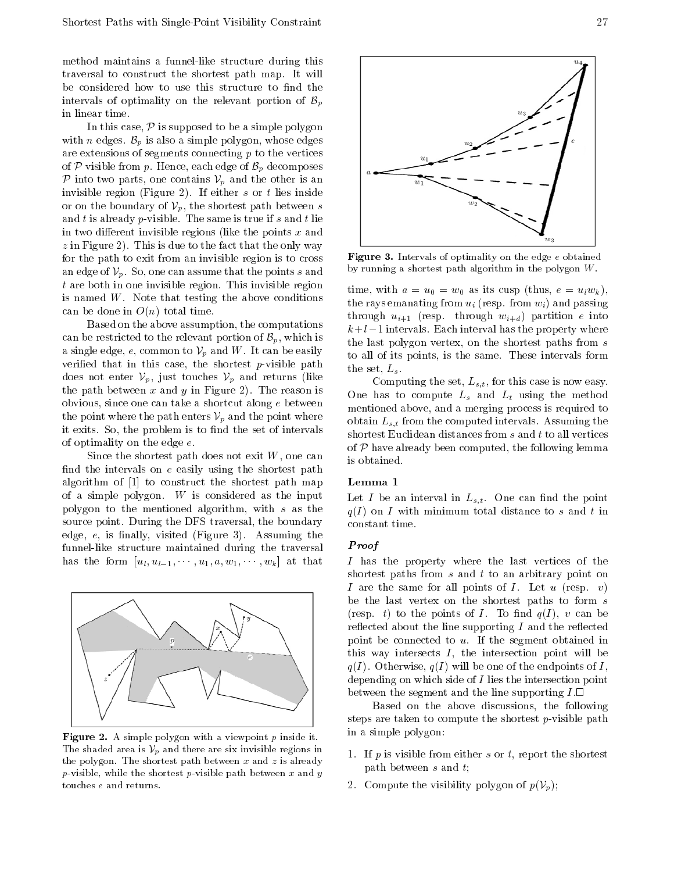method maintains <sup>a</sup> funnel-like structure during this traversal to construct the shortest path map. It will be considered how to use this structure to find the intervals of optimality on the relevant portion of  $\mathcal{B}_p$  $\mathbf{F}_{\text{max}}$  and  $\mathbf{F}_{\text{max}}$ in linear time.

In this case,  $P$  is supposed to be a simple polygon with *n* edges.  $B_n$  is also a simple polygon, whose edges are extensions of segments connecting  $p$  to the vertices of  $P$  visible from  $p$ . Hence, each edge of  $\mathcal{B}_p$  decomposes  $P$  into two parts, one contains  $V_p$  and the other is an invisible region (Figure 2). If either s or t lies inside or on the boundary of  $\mathcal{V}_p$ , the shortest path between s and t is already p-visible. The same is true if s and t lie in two different invisible regions (like the points  $x$  and  $z$  in Figure 2). This is due to the fact that the only way for the path to exit from an invisible region is to cross an edge of  $\mathcal{V}_p$ . So, one can assume that the points s and  $t$  are both in one invisible region. This invisible region  $t_{\text{time}}$ is named  $W$ . Note that testing the above conditions can be done in  $O(n)$  total time.

Based on the above assumption, the computations can be restricted to the relevant portion of  $\mathcal{B}_p$ , which is a single edge, e, common to  $V_n$  and W. It can be easily verified that in this case, the shortest p-visible path  $\frac{1}{h}$ does not enter  $\mathcal{V}_p$ , just touches  $\mathcal{V}_p$  and returns (like the path between x and y in Figure 2). The reason is  $\alpha$ . obvious, since one can take a shortcut along  $e$  between the point where the path enters  $\mathcal{V}_p$  and the point where it exits. So, the problem is to find the set of intervals  $\frac{100}{h}$ of optimality on the edge e.

Since the shortest path does not exit  $W$ , one can find the intervals on  $e$  easily using the shortest path algorithm of [1] to construct the shortest path map of a simple polygon.  $W$  is considered as the input polygon to the mentioned algorithm, with <sup>s</sup> as the source point. During the DFS traversal, the boundary edge,  $e$ , is finally, visited (Figure 3). Assuming the funnel-like structure maintained during the traversal has the form  $[u_l, u_{l-1}, \dots, u_1, w, w_1, \dots, w_k]$  at that



Figure 2. A simple polygon with a viewpoint <sup>p</sup> inside it. The shaded area is  $V_p$  and there are six invisible regions in the polygon. The shortest path between x and z is already p-visible, while the shortest p-visible path between x and y touches <sup>e</sup> and returns.



 $\blacksquare$  intervals of optimality on the edge e obtained by running a shortest path algorithm in the polygon  $W$ .

time, with  $a = u_0 = w_0$  as its cusp (thus,  $e = u_l w_k$ ), the rays emanating from  $u_i$  (resp. from  $w_i$ ) and passing through  $u_{i+1}$  (resp. through  $w_{i+d}$ ) partition e into  $k+l$  1 intervals. Each interval has the property where the last polygon vertex, on the shortest paths from <sup>s</sup> to all of its points, is the same. These intervals form the set,  $L_s$ .

Computing the set,  $L_{s,t}$ , for this case is now easy. One has to compute  $L_s$  and  $L_t$  using the method mentioned above, and a merging process is required to obtain  $L_{s,t}$  from the computed intervals. Assuming the shortest Euclidean distances from  $s$  and  $t$  to all vertices of  $P$  have alleged, the following lemma computed, the following lemma computed, the following lemma computed, the following lemma computed, the following lemma computed, the following lemma computed, the following lemma is obtained.

#### Lemma <sup>1</sup>

Let I be an interval in  $L_{s,t}$ . One can find the point  $q(I)$  on I with minimum total distance to s and t in constant time.

#### Proof

<sup>I</sup> has the property where the last vertices of the shortest paths from  $s$  and  $t$  to an arbitrary point on I are the same for all points of I. Let  $u$  (resp.  $v$ ) be the last vertex on the shortest paths to form <sup>s</sup> (resp. t) to the points of I. To find  $q(I)$ , v can be reflected about the line supporting  $I$  and the reflected point be connected to u. If the segment obtained in this way intersects  $I$ , the intersection point will be  $q(I)$ . Otherwise,  $q(I)$  will be one of the endpoints of I, depending on which side of <sup>I</sup> lies the intersection point between the segment and the line supporting  $I.\Box$ 

Based on the above discussions, the following steps are taken to compute the shortest  $p$ -visible path in a simple polygon:

- 1. If  $p$  is visible from either  $s$  or  $t$ , report the shortest path between <sup>s</sup> and t;
- 2. Compute the visibility polygon of  $p(\mathcal{V}_p)$ ;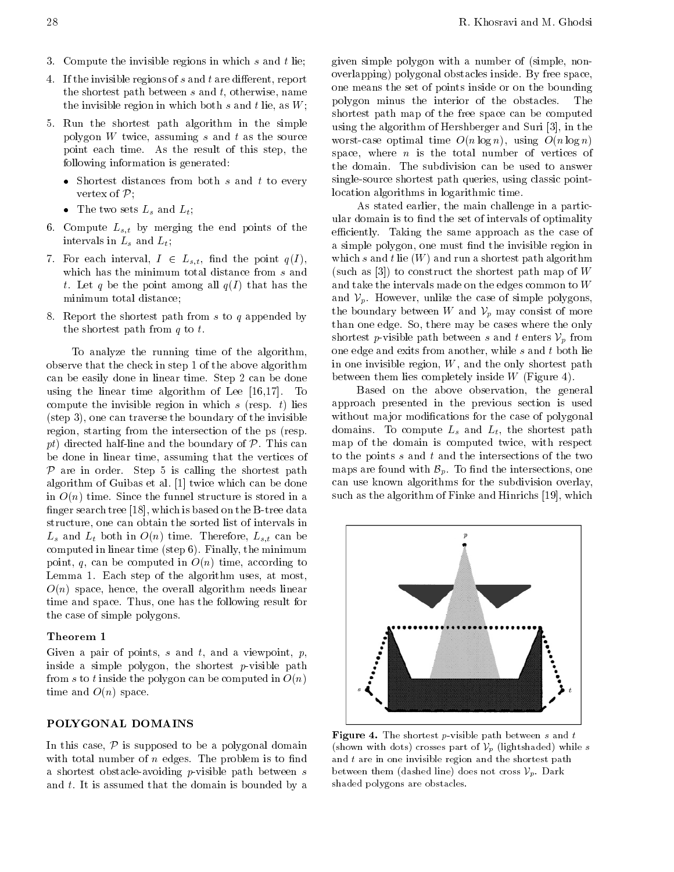- 3. Compute the invisible regions in which  $s$  and  $t$  lie;
- 4. If the invisible regions of  $s$  and  $t$  are different, report the shortest path between  $s$  and  $t$ , otherwise, name the invisible region in which both s and t lie, as  $W$ ;
- 5. Run the shortest path algorithm in the simple polygon  $W$  twice, assuming  $s$  and  $t$  as the source point each time. As the result of this step, the following information is generated:
	- $\frac{1}{\sqrt{2}}$  both s and t to every  $\frac{1}{\sqrt{2}}$  both s and t to every  $\frac{1}{\sqrt{2}}$ Pine Controller
	- $\sigma$  and Leipzig and Leipzig and Leipzig and Leipzig and Leipzig and Leipzig and Leipzig and Leipzig and Leipzig and Leipzig and Leipzig and Leipzig and Leipzig and Leipzig and Leipzig and Leipzig and Leipzig and Leipzig
- 6. Compute  $L_{s,t}$  by merging the end points of the intervals in  $L_s$  and  $L_t$ ;
- $7.7$  For each interval, I 2 Ls;t,  $P$  is the point  $P$  and  $P$  ,  $P$  is the point  $P$  of  $P$  is the point  $P$  is the point  $P$  is the point  $P$  is the point  $P$  is the point  $P$  is the point  $P$  is the point  $P$  is the p which has the minimum total distance from s and t. Let q be the point among all  $q(I)$  that has the minimum total distance;
- 8. Report the shortest path from s to q appended by the shortest path from  $q$  to  $t$ .

To analyze the running time of the algorithm, observe that the check in step 1 of the above algorithm can be easily done in linear time. Step 2 can be done using the linear time algorithm of Lee [16,17]. To compute the invisible region in which  $s$  (resp.  $t$ ) lies (step 3), one can traverse the boundary of the invisible region, starting from the intersection of the ps (resp. pt) directed half-line and the boundary of  $P$ . This can be done in linear time, assuming that the vertices of to the algorithm of Guibas et al.  $[1]$  twice which can be done can in  $O(n)$  time. Since the funnel structure is stored in a finger search tree  $[18]$ , which is based on the B-tree data structure, one can obtain the sorted list of intervals in  $L_s$  and  $L_t$  both in  $O(n)$  time. Therefore,  $L_{s,t}$  can be computed in linear time (step 6). Finally, the minimum point, q, can be computed in  $O(n)$  time, according to Lemma 1. Each step of the algorithm uses, at most,  $O(n)$  space, hence, the overall algorithm needs linear time and space. Thus, one has the following result for the case of simple polygons.

# Theorem <sup>1</sup>

Given a pair of points,  $s$  and  $t$ , and a viewpoint,  $p$ , inside a simple polygon, the shortest  $p$ -visible path from s to t inside the polygon can be computed in  $O(n)$ time and  $O(n)$  space.

#### POLYGONAL DOMAINS

In this case,  $P$  is supposed to be a polygonal domain with total number of *n* edges. The problem is to find and <sup>a</sup> shortest obstacle-avoiding p-visible path between <sup>s</sup> and t. It is assumed that the domain is bounded by a

given simple polygon with <sup>a</sup> number of (simple, nonoverlapping) polygonal obstacles inside. By free space, one means the set of points inside or on the bounding polygon minus the interior of the obstacles. The shortest path map of the free space can be computed using the algorithm of Hershberger and Suri [3], in the worst-case optimal time  $O(n \log n)$ , using  $O(n \log n)$ space, where  $n$  is the total number of vertices of the domain. The subdivision can be used to answer single-source shortest path queries, using classic pointlocation algorithms in logarithmic time.

As stated earlier, the main challenge in a particular domain is to find the set of intervals of optimality efficiently. Taking the same approach as the case of a simple polygon, one must find the invisible region in which s and t lie  $(W)$  and run a shortest path algorithm (such as  $[3]$ ) to construct the shortest path map of W and take the intervals made on the edges common to <sup>W</sup> and  $V_p$ . However, unlike the case of simple polygons, the boundary between W and  $V_n$  may consist of more than one edge. So, there may be cases where the only shortest p-visible path between s and t enters  $\mathcal{V}_p$  from one edge and exits from another, while s and t both lie in one invisible region,  $W$ , and the only shortest path between them lies completely inside  $W$  (Figure 4).

Based on the above observation, the general approach presented in the previous section is used without major modifications for the case of polygonal domains. To compute  $L_s$  and  $L_t$ , the shortest path map of the domain is computed twice, with respect to the points  $s$  and  $t$  and the intersections of the two maps are found with  $\mathcal{B}_p$ . To find the intersections, one  $\sum_{i=1}^{n}$  is come with  $\sum_{i=1}^{n}$  on the subdivision overlay, such as the algorithm of Finke and Hinrichs [19], which



Figure 4. The shortest p-visible path between <sup>s</sup> and <sup>t</sup> (shown with dots) crosses part of  $\mathcal{V}_p$  (lightshaded) while s and  $t$  are in one invisible region and the shortest path between them (dashed line) does not cross  $\mathcal{V}_p$ . Dark shaded polygons are obstacles.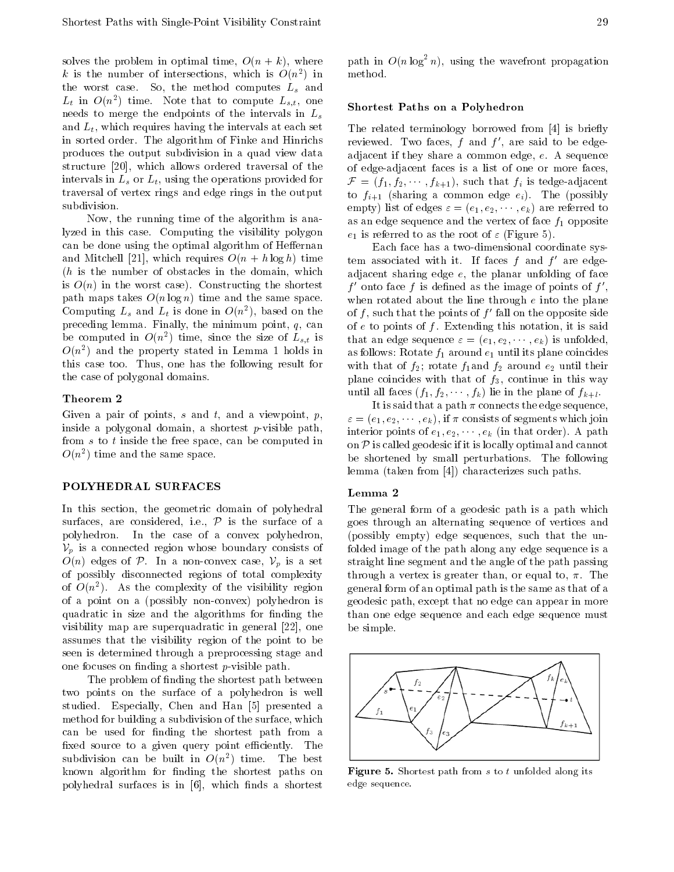solves the problem in optimal time,  $O(n + k)$ , where k is the number of intersections, which is  $O(n^2)$  in the worst case. So, the method computes  $L_s$  and  $L_t$  in  $O(n^2)$  time. Note that to compute  $L_{s,t}$ , one  $\overline{c_1}$ needs to merge the endpoints of the intervals in  $L_s$ and  $L_t$ , which requires having the intervals at each set in sorted order. The algorithm of Finke and Hinrichs produces the output subdivision in <sup>a</sup> quad view data structure [20], which allows ordered traversal of the intervals in  $L_s$  or  $L_t$ , using the operations provided for  $\mathcal{F} = (f_1, f_2, \dots, f_{k+1}),$  such that  $f_i$  is tedge-adjacent traversal of vertex rings and edge rings in the output subdivision.

Now, the running time of the algorithm is analyzed in this case. Computing the visibility polygon can be done using the optimal algorithm of Heffernan and Mitchell [21], which requires  $O(n + h \log h)$  time  $(h$  is the number of obstacles in the domain, which is  $O(n)$  in the worst case). Constructing the shortest path maps takes  $O(n \log n)$  time and the same space. Computing  $L_s$  and  $L_t$  is done in  $O(n^2)$ , based on the of preceding lemma. Finally, the minimum point,  $q$ , can be computed in  $O(n)$  time, since the size of  $L_{s,t}$  is  $\qquad t$  $O(n$  ) and the property stated in Lemma 1 holds in  $\mathcal{L}_{\text{ast}}$  is this case too. Thus, one has the following result for the case of polygonal domains.

# Theorem <sup>2</sup>

Given a pair of points, s and t, and a viewpoint,  $p$ , inside <sup>a</sup> polygonal domain, <sup>a</sup> shortest p-visible path, from <sup>s</sup> to <sup>t</sup> inside the free space, can be computed in  $\cup$  ( $n$   $\overline{\phantom{a}}$  ) time and the same space.

#### POLYHEDRAL SURFACES

In this section, the geometric domain of polyhedral surfaces, are considered, i.e.,  $P$  is the surface of a  $\frac{1}{2}$  polyhedron. In the case of a convex polyhedron, (po  $O(n)$  edges of P. In a non-convex case,  $V_n$  is a set  $\mathbb{P}$  is a set of possibly disconnected regions of total complexity through the set of possibly disconnected regions of total complexity of  $O(n^-)$ . As the complexity of the visibility region  $\epsilon$  gene of <sup>a</sup> point on <sup>a</sup> (possibly non-convex) polyhedron is quadratic in size and the algorithms for finding the visibility map are superquadratic in general [22], one assumes that the visibility region of the point to be seen is determined through a preprocessing stage and one focuses on finding a shortest  $p$ -visible path.

The problem of finding the shortest path between two points on the surface of <sup>a</sup> polyhedron is well studied. Especially, Chen and Han [5] presented <sup>a</sup> method for building a subdivision of the surface, which can be used for finding the shortest path from a fixed source to a given query point efficiently. The subdivision can be built in  $O(n)$  time. The best  $\square$ known algorithm for finding the shortest paths on polyhedral surfaces is in [6], which finds a shortest

# Shortest Paths on a Polyhedron

The related terminology borrowed from [4] is briefly reviewed. Two faces,  $f$  and  $f'$ , are said to be edgeadjacent if they share a common edge, e. A sequence of edge-adjacent faces is <sup>a</sup> list of one or more faces, to  $f_{i+1}$  (sharing a common edge  $e_i$ ). The (possibly empty) list of edges  $\varepsilon = (e_1, e_2, \dots, e_k)$  are referred to  $\sum_{i=1}^{\infty}$  are referred to as an edge sequence and the vertex of face  $f_1$  opposite  $e_1$  is referred to as the root of  $\varepsilon$  (Figure 5).

Each face has a two-dimensional coordinate system associated with it. If faces  $f$  and  $f'$  are edgeadjacent sharing edge  $e$ , the planar unfolding of face  $f'$  onto face f is defined as the image of points of  $f'$ , when rotated about the line through  $e$  into the plane of f, such that the points of  $f'$  fall on the opposite side of  $e$  to points of  $f$ . Extending this notation, it is said that an edge sequence  $\varepsilon = (e_1, e_2, \dots, e_k)$  is unfolded, as follows: Rotate  $f_1$  around  $e_1$  until its plane coincides with that of  $f_2$ ; rotate  $f_1$  and  $f_2$  around  $e_2$  until their plane coincides with that of  $f_3$ , continue in this way until all faces  $(f_1, f_2, \dots, f_k)$  lie in the plane of  $f_{k+l}$ .

It is said that a path  $\pi$  connects the edge sequence,  $\varepsilon = (e_1, e_2, \dots, e_k)$ , if  $\pi$  consists of segments which join interior points of  $e_1, e_2, \dots, e_k$  (in that order). A path  $\overline{\mathcal{P}}$  is called geodesic if it is locally optimal and cannot be shortened by small perturbations. The following lemma (taken from [4]) characterizes such paths.

#### Lemma <sup>2</sup>

The general form of a geodesic path is a path which goes through an alternating sequence of vertices and (possibly empty) edge sequences, such that the unfolded image of the path along any edge sequence is a straight line segment and the angle of the path passing through a vertex is greater than, or equal to,  $\pi$ . The general form of an optimal path is the same as that of a geodesic path, except that no edge can appear in more than one edge sequence and each edge sequence must be simple.



Figure 5. Shortest path from <sup>s</sup> to <sup>t</sup> unfolded along its edge sequence.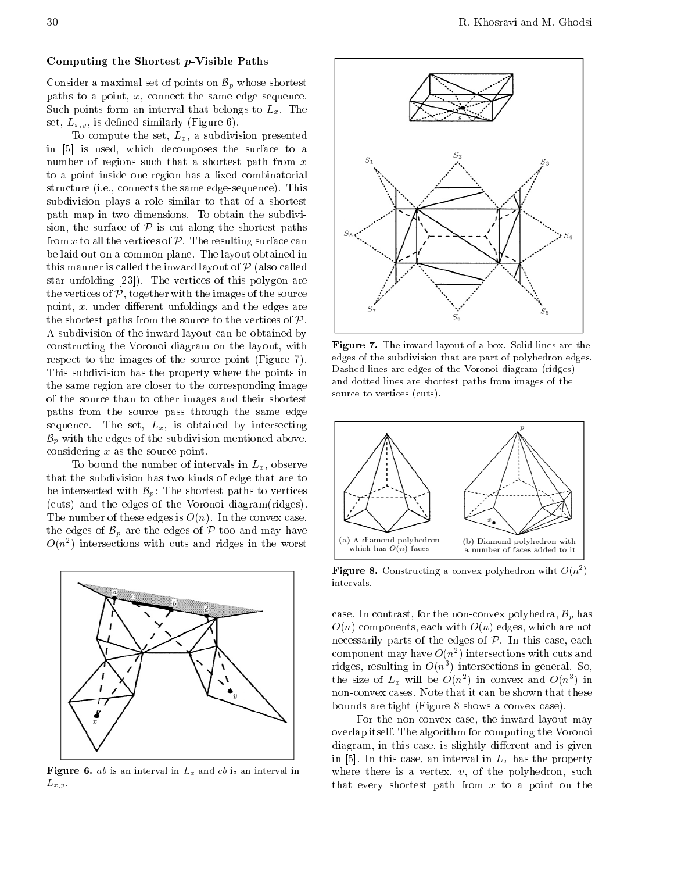#### Computing the Shortest p-Visible Paths

Consider a maximal set of points on  $\mathcal{B}_p$  whose shortest paths to a point,  $x$ , connect the same edge sequence. Such points form an interval that belongs to  $L_x$ . The set,  $L_{x,y}$ , is defined similarly (Figure 6).

To compute the set,  $L_x$ , a subdivision presented in [5] is used, which decomposes the surface to <sup>a</sup> number of regions such that a shortest path from  $x$ to a point inside one region has a fixed combinatorial structure (i.e., connects the same edge-sequence). This subdivision plays <sup>a</sup> role similar to that of <sup>a</sup> shortest path map in two dimensions. To obtain the subdivision, the surface of  $P$  is cut along the shortest paths from x to all the vertices of  $\mathcal P$ . The resulting surface can P. The resulting surface can be laid out on a common plane. The layout obtained in this manner is called the inward layout of  $P$  (also called  $\frac{m}{23}$ ). The vertices of this polygon are the vertices of  $P$ , together with the images of the source  $\frac{1}{2}$ , the source of the source of the images of the source of the source of the source of the source of the source of the source of the source of the source of the source of the source of the source of the source of the shortest paths from the source to the vertices of  $P$ . A subdivision of the inward layout can be obtained by constructing the Voronoi diagram on the layout, with respect to the images of the source point (Figure 7). This subdivision has the property where the points in the same region are closer to the corresponding image of the source than to other images and their shortest paths from the source pass through the same edge sequence. The set,  $L_x$ , is obtained by intersecting  $\mathcal{B}_p$  with the edges of the subdivision mentioned above, considering  $x$  as the source point.

To bound the number of intervals in  $L_x$ , observe that the subdivision has two kinds of edge that are to be intersected with  $\mathcal{B}_p$ : The shortest paths to vertices  $\begin{bmatrix} \text{cuts} \text{and} \text{the edges of the Voronoi diagram (rides)}. \end{bmatrix}$ The number of these edges is  $O(n)$ . In the convex case, the edges of  $\mathcal{B}_p$  are the edges of  $\mathcal P$  too and may have  $O(n^2)$  intersections with cuts and ridges in the worst  $\left| \right|^{(n)}$ 



**Figure 6.** *ab* is an interval in  $L_x$  and cb is an interval in  $W$  $L_{x,y}$ .



Figure 7. The inward layout of a box. Solid lines are the edges of the subdivision that are part of polyhedron edges. Dashed lines are edges of the Voronoi diagram (ridges) and dotted lines are shortest paths from images of the source to vertices (cuts).



**Figure 8.** Constructing a convex polyhedron wiht  $O(n<sup>2</sup>)$  $\blacksquare$ intervals.

case. In contrast, for the non-convex polyhedra,  $\mathcal{B}_p$  has  $O(n)$  components, each with  $O(n)$  edges, which are not necessarily parts of the edges of  $P$ . In this case, each component may have  $O(n^2)$  intersections with cuts and ridges, resulting in  $O(n)$  intersections in general. So, the size of  $L_x$  will be  $O(n)$  in convex and  $O(n)$  in non-convex cases. Note that it can be shown that these bounds are tight (Figure 8 shows a convex case).

For the non-convex case, the inward layout may overlap itself. The algorithm for computing the Voronoi diagram, in this case, is slightly different and is given in [5]. In this case, an interval in  $L_x$  has the property where there is a vertex,  $v$ , of the polyhedron, such that every shortest path from  $x$  to a point on the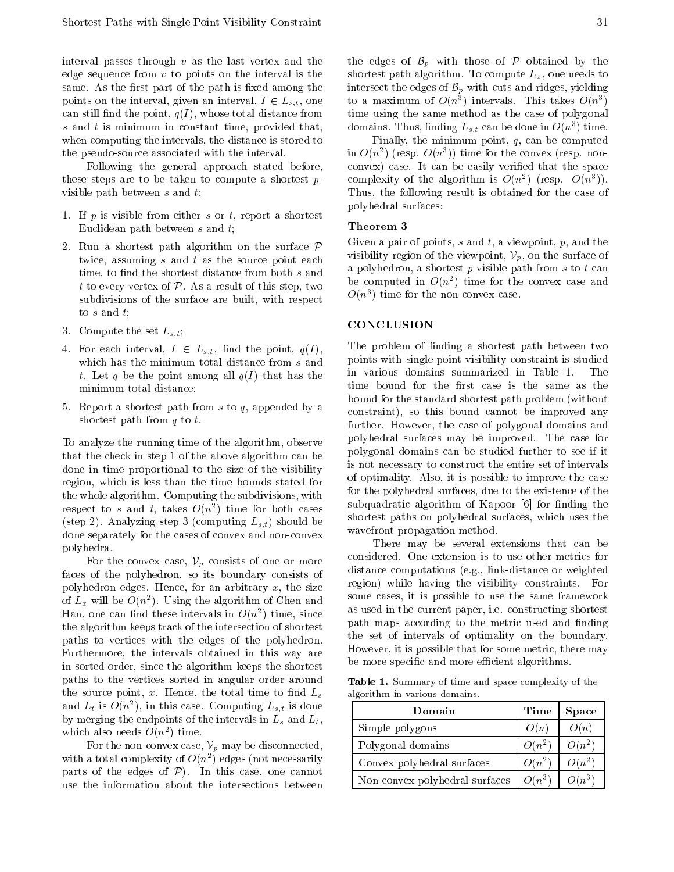interval passes through  $v$  as the last vertex and the edge sequence from  $v$  to points on the interval is the same. As the first part of the path is fixed among the points on the interval, given an interval,  $I \in L_{s,t}$ , one can still find the point,  $q(I)$ , whose total distance from time using s and  $t$  is minimum in constant time, provided that, when computing the intervals, the distance is stored to the pseudo-source associated with the interval.

Following the general approach stated before, these steps are to be taken to compute a shortest  $p$ visible path between  $s$  and  $t$ :

- 1. If p is visible from either s or t, report a shortest Euclidean path between <sup>s</sup> and t;
- 2. Run a shortest path algorithm on the surface  $\mathcal P$ twice, assuming  $s$  and  $t$  as the source point each time, to find the shortest distance from both  $s$  and t to every vertex of  $P$ . As a result of this step, two subdivisions of the surface are built, with respect  $O(r)$ to <sup>s</sup> and t;
- 3. Compute the set  $L_{s,t}$ ;
- 4. For each interval,  $I \in L_{s,t}$ , find the point,  $q(I)$ , which has the minimum total distance from  $s$  and point t. Let q be the point among all  $q(I)$  that has the minimum total distance;
- 5. Report a shortest path from s to q, appended by a shortest path from  $q$  to  $t$ .

To analyze the running time of the algorithm, observe that the check in step 1 of the above algorithm can be done in time proportional to the size of the visibility region, which isless than the time bounds stated for the whole algorithm. Computing the subdivisions, with respect to s and t, takes  $O(n^{-})$  time for both cases  $\qquad \qquad$ (step 2). Analyzing step 3 (computing  $L_{s,t}$ ) should be done separately for the cases of convex and non-convex polyhedra.

For the convex case,  $V_p$  consists of one or more faces of the polyhedron, so its boundary consists of  $\frac{d}{dx}$ polyhedron edges. Hence, for an arbitrary  $x$ , the size of  $L_x$  will be  $O(n^-)$ . Using the algorithm of Chen and  $\text{man}, \text{ one can find these interest as in } \mathcal{O}(n^2)$  time, since the algorithm keeps track of the intersection of shortest paths to vertices with the edges of the polyhedron. Furthermore, the intervals obtained in this way are in sorted order, since the algorithm keeps the shortest paths to the vertices sorted in angular order around the source point,  $x$ . Hence, the total time to find  $L_s$ and  $L_t$  is  $O(n^-)$ , in this case. Computing  $L_{s,t}$  is done  $\qquad$ by merging the endpoints of the intervals in  $L_s$  and  $L_t$ , which also needs  $O(n^2)$  time.

For the non-convex case,  $\mathcal{V}_p$  may be disconnected, with a total complexity of  $O(n^2)$  edges (not necessarily parts of the edges of  $P$ ). In this case, one cannot E use the information about the intersections between  $\overline{N}$ 

the edges of  $\mathcal{B}_p$  with those of  $\mathcal P$  obtained by the shortest path algorithm. To compute  $L_x$ , one needs to intersect the edges of  $\mathcal{B}_p$  with cuts and ridges, yielding to a maximum of  $O(n^{\frac{1}{3}})$  intervals. This takes  $O(n^3)$ time using the same method as the case of polygonal domains. I nus, finding  $L_{s,t}$  can be done in  $O(n^+)$  time.

Finally, the minimum point,  $q$ , can be computed in  $O(n<sup>2</sup>)$  (resp.  $O(n<sup>2</sup>)$ ) time for the convex (resp. nonconvex) case. It can be easily veried that the space complexity of the algorithm is  $O(n^2)$  (resp.  $O(n^2)$ ). Thus, the following result is obtained for the case of polyhedral surfaces:

# Theorem <sup>3</sup>

 $\mathcal{V}_n$  visibility region of the viewpoint,  $\mathcal{V}_n$ , Given a pair of points,  $s$  and  $t$ , a viewpoint,  $p$ , and the a polyhedron, a shortest p-visible path from s to t can be computed in  $O(n^2)$  time for the convex case and  $O(n^2)$  time for the non-convex case.

#### **CONCLUSION**

The problem of finding a shortest path between two points with single-point visibility constraint is studied in various domains summarized in Table 1. The time bound for the first case is the same as the bound for the standard shortest path problem (without constraint), so this bound cannot be improved any further. However, the case of polygonal domains and polyhedral surfaces may be improved. The case for polygonal domains can be studied further to see if it is not necessary to construct the entire set of intervals of optimality. Also, it is possible to improve the case for the polyhedral surfaces, due to the existence of the subquadratic algorithm of Kapoor [6] for finding the shortest paths on polyhedral surfaces, which uses the wavefront propagation method.

There may be several extensions that can be considered. One extension is to use other metrics for distance computations (e.g., link-distance or weighted region) while having the visibility constraints. For some cases, it is possible to use the same framework as used in the current paper, i.e. constructing shortest path maps according to the metric used and finding the set of intervals of optimality on the boundary. However, it is possible that for some metric, there may be more specific and more efficient algorithms.

Table 1. Summary of time and space complexity of the algorithm in various domains.

| Domain                         | Time     | <b>Space</b> |
|--------------------------------|----------|--------------|
| Simple polygons                | O(n)     | O(n)         |
| Polygonal domains              | $O(n^2)$ | $O(n^2)$     |
| Convex polyhedral surfaces     | $O(n^2)$ | $O(n^2)$     |
| Non-convex polyhedral surfaces | $O(n^3)$ | $O(n^3)$     |